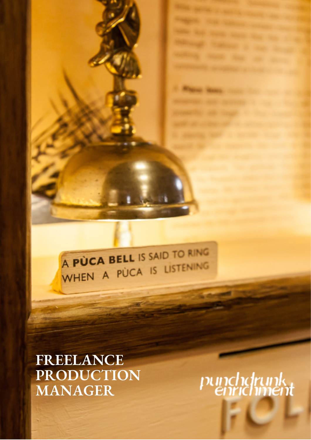A PÙCA BELL IS SAID TO RING WHEN A PUCA IS LISTENING

# **FREELANCE PRODUCTION MANAGER**

pundndrunk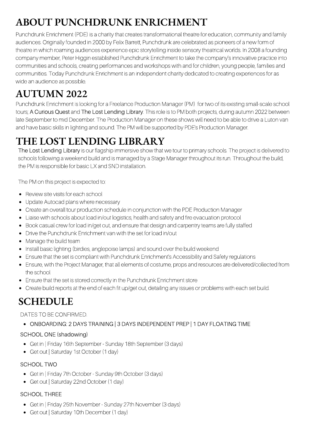# **ABOUT PUNCHDRUNK ENRICHMENT**

Punchdrunk Enrichment (PDE) is a charity that creates transformational theatre for education, community and family audiences. Originally founded in 2000 by Felix Barrett, Punchdrunk are celebrated as pioneers of a new form of theatre in which roaming audiences experience epic storytelling inside sensory theatrical worlds. In 2008 a founding company member, Peter Higgin established Punchdrunk Enrichment to take the company's innovative practice into communities and schools, creating performances and workshops with and for children, young people, families and communities. Today Punchdrunk Enrichment is an independent charity dedicated to creating experiences for as wide an audience as possible.

# **AUTUMN 2022**

Punchdrunk Enrichment is looking for a Freelance Production Manager (PM) for two of its existing small-scale school tours; A Curious Quest and The Lost Lending Library. This role is to PM both projects, during autumn 2022 between late September to mid December. The Production Manager on these shows will need to be able to drive a Luton van and have basic skills in lighting and sound. The PM will be supported by PDE's Production Manager.

## **THE LOST LENDING LIBRARY**

The Lost Lending Library is our flagship immersive show that we tour to primary schools. The project is delivered to schools following a weekend build and is managed by a Stage Manager throughout its run. Throughout the build, the PM is responsible for basic LX and SND installation.

The PM on this project is expected to:

- Review site visits for each school
- Update Autocad plans where necessary  $\bullet$
- Create an overall tour production schedule in conjunction with the PDE Production Manager
- Liaise with schools about load in/out logistics, health and safety and fire evacuation protocol
- Book casual crew for load in/get out, and ensure that design and carpentry teams are fully staffed  $\bullet$
- Drive the Punchdrunk Enrichment van with the set for load in/out  $\bullet$
- Manage the build team
- Install basic lighting (birdies, anglepoise lamps) and sound over the build weekend
- Ensure that the set is compliant with Punchdrunk Enrichment's Accessibility and Safety regulations
- Ensure, with the Project Manager, that all elements of costume, props and resources are delivered/collected from the school
- Ensure that the set is stored correctly in the Punchdrunk Enrichment store
- Create build reports at the end of each fit up/get out, detailing any issues or problems with each set build.

## **SCHEDULE**

### DATES TO BE CONFIRMED.

ONBOARDING: 2 DAYS TRAINING | 3 DAYS INDEPENDENT PREP | 1 DAY FLOATING TIME

### SCHOOL ONE (shadowing)

- Get in | Friday 16th September Sunday 18th September (3 days)
- Get out | Saturday 1st October (1 day)

### SCHOOL TWO

- Get in | Friday 7th October Sunday 9th October (3 days)
- Get out | Saturday 22nd October (1 day)

### SCHOOL THREE

- Get in | Friday 25th November Sunday 27th November (3 days)
- Get out | Saturday 10th December (1 day)